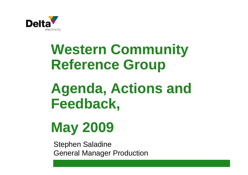

# **Western Community Reference Group**

# **Agenda, Actions and Feedback,**

# **May 2009**

Stephen Saladine General Manager Production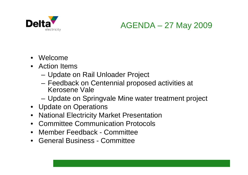

## AGENDA – 27 May 2009

- Welcome
- Action Items
	- Update on Rail Unloader Project
	- Feedback on Centennial proposed activities at Kerosene Vale
	- Update on Springvale Mine water treatment project
- Update on Operations
- National Electricity Market Presentation
- Committee Communication Protocols
- Member Feedback Committee
- General Business Committee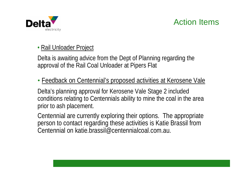

## Action Items

#### • Rail Unloader Project

Delta is awaiting advice from the Dept of Planning regarding the approval of the Rail Coal Unloader at Pipers Flat

## • Feedback on Centennial's proposed activities at Kerosene Vale

Delta's planning approval for Kerosene Vale Stage 2 included conditions relating to Centennials ability to mine the coal in the area prior to ash placement.

Centennial are currently exploring their options. The appropriate person to contact regarding these activities is Katie Brassil from Centennial on katie.brassil@centennialcoal.com.au.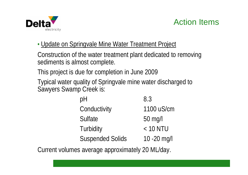

## Action Items

## • Update on Springvale Mine Water Treatment Project

Construction of the water treatment plant dedicated to removing sediments is almost complete.

This project is due for completion in June 2009

Typical water quality of Springvale mine water discharged to Sawyers Swamp Creek is:

| рH                      | 8.3          |
|-------------------------|--------------|
| Conductivity            | 1100 uS/cm   |
| <b>Sulfate</b>          | 50 mg/l      |
| Turbidity               | $< 10$ NTU   |
| <b>Suspended Solids</b> | 10 - 20 mg/l |

Current volumes average approximately 20 ML/day.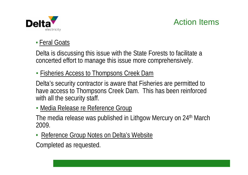



### • Feral Goats

Delta is discussing this issue with the State Forests to facilitate a concerted effort to manage this issue more comprehensively.

#### • Fisheries Access to Thompsons Creek Dam

Delta's security contractor is aware that Fisheries are permitted to have access to Thompsons Creek Dam. This has been reinforced with all the security staff.

#### • Media Release re Reference Group

The media release was published in Lithgow Mercury on 24<sup>th</sup> March 2009.

• Reference Group Notes on Delta's Website

Completed as requested.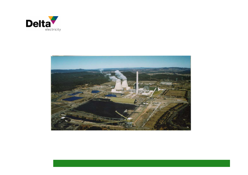

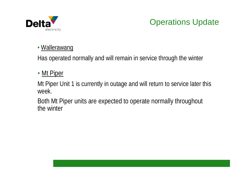

# Operations Update

#### • Wallerawang

Has operated normally and will remain in service through the winter

### • Mt Piper

Mt Piper Unit 1 is currently in outage and will return to service later this week.

Both Mt Piper units are expected to operate normally throughout the winter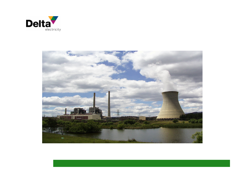

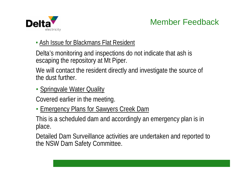

# Member Feedback

#### • Ash Issue for Blackmans Flat Resident

Delta's monitoring and inspections do not indicate that ash is escaping the repository at Mt Piper.

We will contact the resident directly and investigate the source of the dust further.

• Springvale Water Quality

Covered earlier in the meeting.

• Emergency Plans for Sawyers Creek Dam

This is a scheduled dam and accordingly an emergency plan is in place.

Detailed Dam Surveillance activities are undertaken and reported to the NSW Dam Safety Committee.